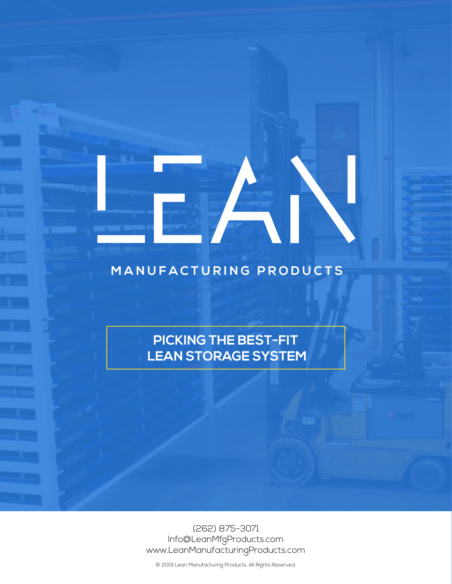## **M ANUFACTURING PRODUCTS**

**PICKING THE BEST-FIT LEAN STORAGE SYSTEM**

(262) 875-3071 Info@LeanMfgProducts.com www.LeanManufacturingProducts.com

© 2019 Lean Manufacturing Products. All Rights Reserved.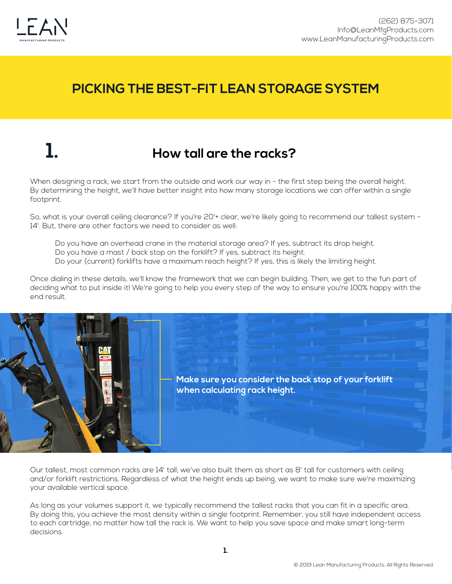

## **1. How tall are the racks?**

When designing a rack, we start from the outside and work our way in - the first step being the overall height. By determining the height, we'll have better insight into how many storage locations we can offer within a single footprint.

So, what is your overall ceiling clearance? If you're 20'+ clear, we're likely going to recommend our tallest system -14'. But, there are other factors we need to consider as well:

 Do you have an overhead crane in the material storage area? If yes, subtract its drop height. Do you have a mast / back stop on the forklift? If yes, subtract its height. Do your (current) forklifts have a maximum reach height? If yes, this is likely the limiting height.

Once dialing in these details, we'll know the framework that we can begin building. Then, we get to the fun part of deciding what to put inside it! We're going to help you every step of the way to ensure you're 100% happy with the end result.



Our tallest, most common racks are 14' tall; we've also built them as short as 8' tall for customers with ceiling and/or forklift restrictions. Regardless of what the height ends up being, we want to make sure we're maximizing your available vertical space.

As long as your volumes support it, we typically recommend the tallest racks that you can fit in a specific area. By doing this, you achieve the most density within a single footprint. Remember, you still have independent access to each cartridge, no matter how tall the rack is. We want to help you save space and make smart long-term decisions.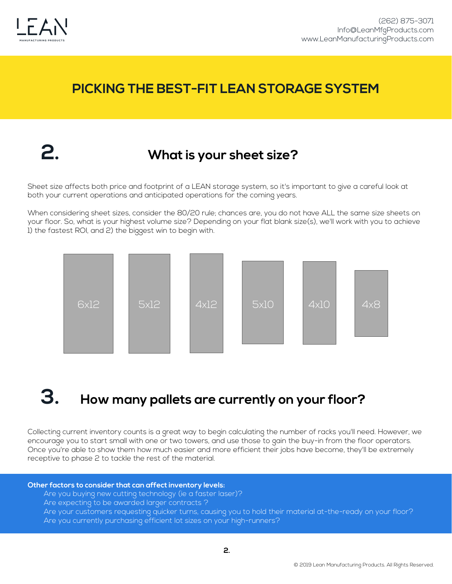

## **2. What is your sheet size?**

Sheet size affects both price and footprint of a LEAN storage system, so it's important to give a careful look at both your current operations and anticipated operations for the coming years.

When considering sheet sizes, consider the 80/20 rule; chances are, you do not have ALL the same size sheets on your floor. So, what is your highest volume size? Depending on your flat blank size(s), we'll work with you to achieve 1) the fastest ROI, and 2) the biggest win to begin with.



# **3. How many pallets are currently on your floor?**

Collecting current inventory counts is a great way to begin calculating the number of racks you'll need. However, we encourage you to start small with one or two towers, and use those to gain the buy-in from the floor operators. Once you're able to show them how much easier and more efficient their jobs have become, they'll be extremely receptive to phase 2 to tackle the rest of the material.

### **Other factors to consider that can affect inventory levels:**

- Are you buying new cutting technology (ie a faster laser)?
- Are expecting to be awarded larger contracts ?
- Are your customers requesting quicker turns, causing you to hold their material at-the-ready on your floor? Are you currently purchasing efficient lot sizes on your high-runners?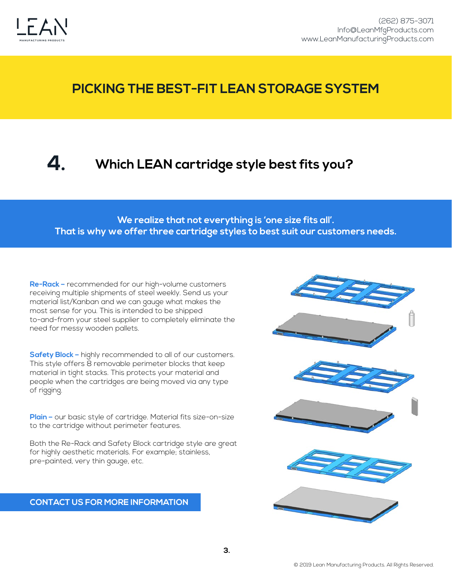

### **4. Which LEAN cartridge style best fits you?**

**We realize that not everything is 'one size fits all'. That is why we offer three cartridge styles to best suit our customers needs.** 

**Re-Rack –** recommended for our high-volume customers receiving multiple shipments of steel weekly. Send us your material list/Kanban and we can gauge what makes the most sense for you. This is intended to be shipped to-and-from your steel supplier to completely eliminate the need for messy wooden pallets.

**Safety Block –** highly recommended to all of our customers. This style offers 8 removable perimeter blocks that keep material in tight stacks. This protects your material and people when the cartridges are being moved via any type of rigging.

**Plain –** our basic style of cartridge. Material fits size-on-size to the cartridge without perimeter features.

Both the Re-Rack and Safety Block cartridge style are great for highly aesthetic materials. For example; stainless, pre-painted, very thin gauge, etc.

### **CONTACT US FOR MORE INFORMATION**

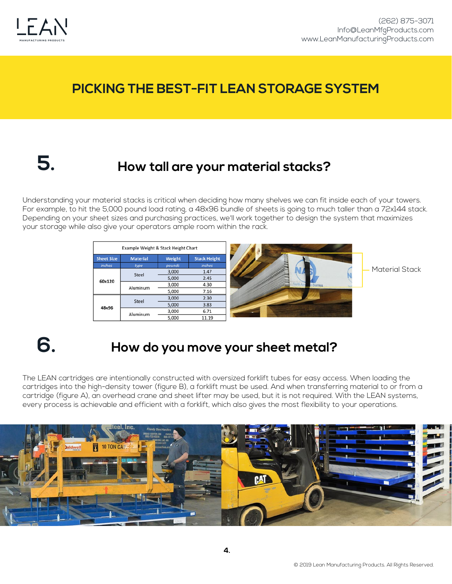

# **5.**

## **How tall are your material stacks?**

Understanding your material stacks is critical when deciding how many shelves we can fit inside each of your towers. For example, to hit the 5,000 pound load rating, a 48x96 bundle of sheets is going to much taller than a 72x144 stack. Depending on your sheet sizes and purchasing practices, we'll work together to design the system that maximizes your storage while also give your operators ample room within the rack.



# **6. How do you move your sheet metal?**

The LEAN cartridges are intentionally constructed with oversized forklift tubes for easy access. When loading the cartridges into the high-density tower (figure B), a forklift must be used. And when transferring material to or from a cartridge (figure A), an overhead crane and sheet lifter may be used, but it is not required. With the LEAN systems, every process is achievable and efficient with a forklift, which also gives the most flexibility to your operations.

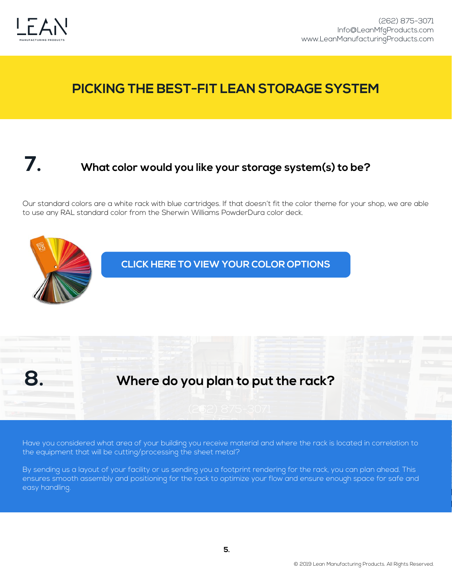

## **7. What color would you like your storage system(s) to be?**

Our standard colors are a white rack with blue cartridges. If that doesn't fit the color theme for your shop, we are able to use any RAL standard color from the Sherwin Williams PowderDura color deck.



.<br>Have you considered what area of your building you receive material and where the rack is located in correlation to the equipment that will be cutting/processing the sheet metal?

By sending us a layout of your facility or us sending you a footprint rendering for the rack, you can plan ahead. This ensures smooth assembly and positioning for the rack to optimize your flow and ensure enough space for safe and easy handling.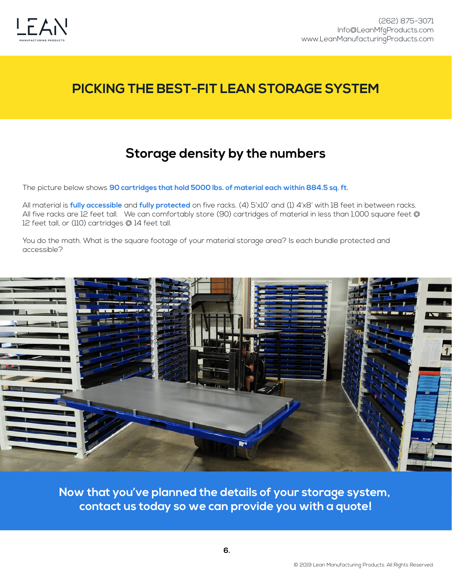

## **Storage density by the numbers**

The picture below shows **90 cartridges that hold 5000 lbs. of material each within 884.5 sq. ft.** 

All material is **fully accessible** and **fully protected** on five racks. (4) 5'x10' and (1) 4'x8' with 18 feet in between racks. All five racks are 12 feet tall. We can comfortably store (90) cartridges of material in less than 1,000 square feet @ 12 feet tall, or (110) cartridges @ 14 feet tall.

You do the math. What is the square footage of your material storage area? Is each bundle protected and accessible?



**Now that you've planned the details of your storage system, contact us today so we can provide you with a quote!**